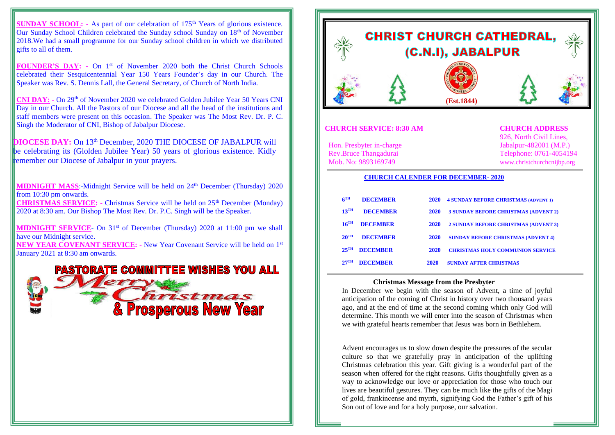**SUNDAY SCHOOL:** - As part of our celebration of  $175<sup>th</sup>$  Years of glorious existence. Our Sunday School Children celebrated the Sunday school Sunday on 18th of November 2018.We had a small programme for our Sunday school children in which we distributed gifts to all of them.

FOUNDER'S DAY: - On 1<sup>st</sup> of November 2020 both the Christ Church Schools celebrated their Sesquicentennial Year 150 Years Founder's day in our Church. The Speaker was Rev. S. Dennis Lall, the General Secretary, of Church of North India.

**CNI DAY: -** On 29th of November 2020 we celebrated Golden Jubilee Year 50 Years CNI Day in our Church. All the Pastors of our Diocese and all the head of the institutions and staff members were present on this occasion. The Speaker was The Most Rev. Dr. P. C. Singh the Moderator of CNI, Bishop of Jabalpur Diocese.

**DIOCESE DAY:** On 13th December, 2020 THE DIOCESE OF JABALPUR will be celebrating its (Glolden Jubilee Year) 50 years of glorious existence. Kidly remember our Diocese of Jabalpur in your prayers.

**MIDNIGHT MASS:-Midnight Service will be held on 24<sup>th</sup> December (Thursday) 2020** from 10:30 pm onwards.

**CHRISTMAS SERVICE: -** Christmas Service will be held on 25th December (Monday) 2020 at 8:30 am. Our Bishop The Most Rev. Dr. P.C. Singh will be the Speaker.

**MIDNIGHT SERVICE**- On 31<sup>st</sup> of December (Thursday) 2020 at 11:00 pm we shall have our Midnight service.

**NEW YEAR COVENANT SERVICE: -** New Year Covenant Service will be held on 1st January 2021 at 8:30 am onwards.





#### **CHURCH SERVICE: 8:30 AM CHURCH ADDRESS**

 926, North Civil Lines, Rev.Bruce Thangadurai Telephone: 0761-4054194<br>
Mob. No: 9893169749 www.christchurcheniibn.org www.christchurchcnijbp.org

# Hon. Presbyter in-charge Jabalpur-482001 (M.P.)<br>Rev.Bruce Thangadurai Telephone: 0761-405419

#### **CHURCH CALENDER FOR DECEMBER- 2020**

| 6 <sup>TH</sup>    | <b>DECEMBER</b> | <b>2020</b> | <b>4 SUNDAY BEFORE CHRISTMAS (ADVENT 1)</b> |
|--------------------|-----------------|-------------|---------------------------------------------|
| $13$ <sup>TH</sup> | <b>DECEMBER</b> | <b>2020</b> | <b>3 SUNDAY BEFORE CHRISTMAS (ADVENT 2)</b> |
| $16$ <sup>TH</sup> | <b>DECEMBER</b> | <b>2020</b> | <b>2 SUNDAY BEFORE CHRISTMAS (ADVENT 3)</b> |
| $20^{\text{TH}}$   | <b>DECEMBER</b> | <b>2020</b> | <b>SUNDAY BEFORE CHRISTMAS (ADVENT 4)</b>   |
| $25$ <sup>TH</sup> | <b>DECEMBER</b> | <b>2020</b> | <b>CHRISTMAS HOLY COMMUNION SERVICE</b>     |
| $27^{\text{TH}}$   | <b>DECEMBER</b> | 2020        | <b>SUNDAY AFTER CHRISTMAS</b>               |

#### **Christmas Message from the Presbyter**

In December we begin with the season of Advent, a time of joyful anticipation of the coming of Christ in history over two thousand years ago, and at the end of time at the second coming which only God will determine. This month we will enter into the season of Christmas when we with grateful hearts remember that Jesus was born in Bethlehem.

Advent encourages us to slow down despite the pressures of the secular culture so that we gratefully pray in anticipation of the uplifting Christmas celebration this year. Gift giving is a wonderful part of the season when offered for the right reasons. Gifts thoughtfully given as a way to acknowledge our love or appreciation for those who touch our lives are beautiful gestures. They can be much like the gifts of the Magi of gold, frankincense and myrrh, signifying God the Father's gift of his Son out of love and for a holy purpose, our salvation.